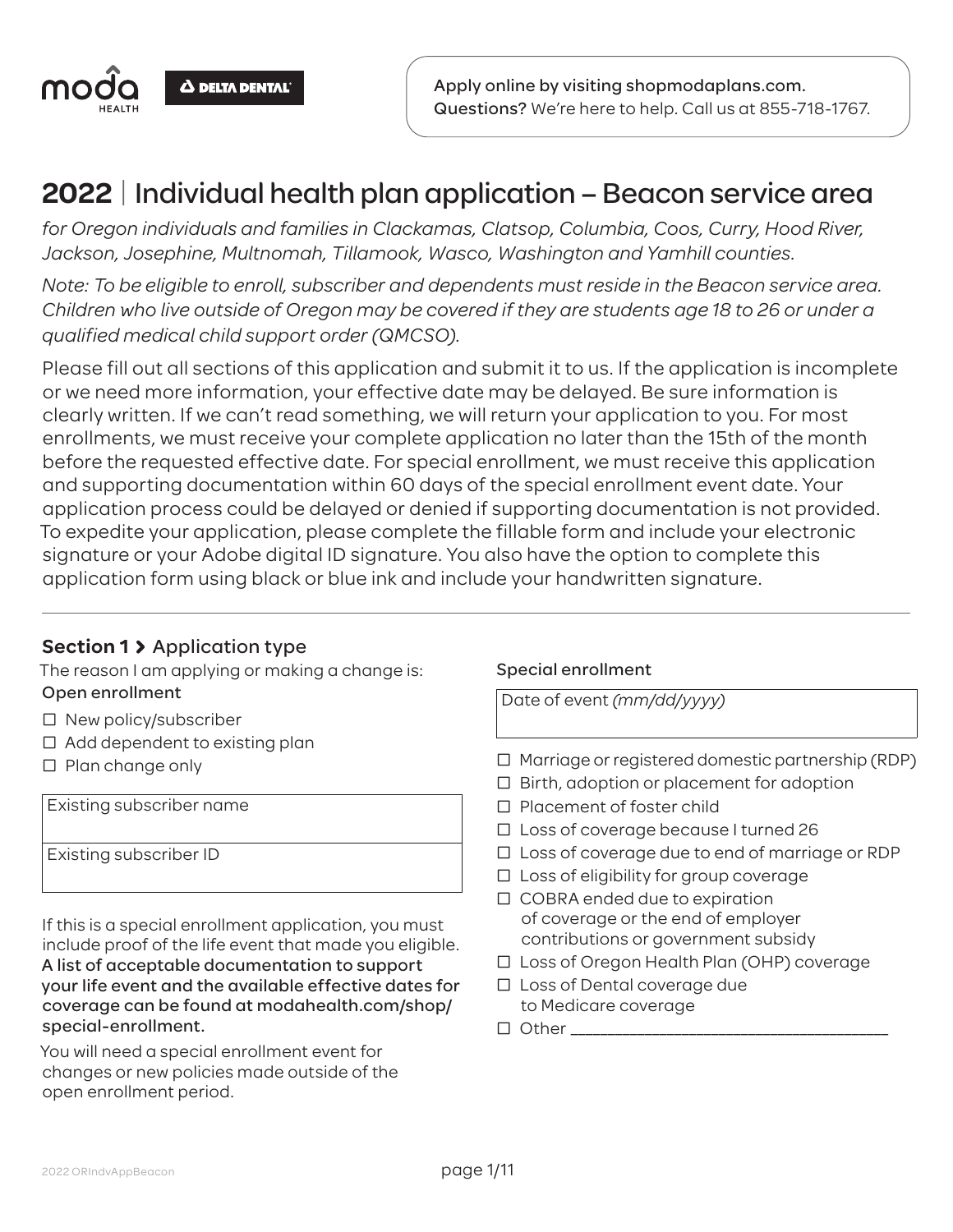

## **2022** | Individual health plan application – Beacon service area

*for Oregon individuals and families in Clackamas, Clatsop, Columbia, Coos, Curry, Hood River, Jackson, Josephine, Multnomah, Tillamook, Wasco, Washington and Yamhill counties.*

*Note: To be eligible to enroll, subscriber and dependents must reside in the Beacon service area. Children who live outside of Oregon may be covered if they are students age 18 to 26 or under a qualified medical child support order (QMCSO).*

Please fill out all sections of this application and submit it to us. If the application is incomplete or we need more information, your effective date may be delayed. Be sure information is clearly written. If we can't read something, we will return your application to you. For most enrollments, we must receive your complete application no later than the 15th of the month before the requested effective date. For special enrollment, we must receive this application and supporting documentation within 60 days of the special enrollment event date. Your application process could be delayed or denied if supporting documentation is not provided. To expedite your application, please complete the fillable form and include your electronic signature or your Adobe digital ID signature. You also have the option to complete this application form using black or blue ink and include your handwritten signature.

## **Section 1** Application type

The reason I am applying or making a change is: Open enrollment

- $\square$  New policy/subscriber
- $\Box$  Add dependent to existing plan
- $\square$  Plan change only

Existing subscriber name

Existing subscriber ID

If this is a special enrollment application, you must include proof of the life event that made you eligible. A list of acceptable documentation to support your life event and the available effective dates for coverage can be found at modahealth.com/shop/ special-enrollment.

You will need a special enrollment event for changes or new policies made outside of the open enrollment period.

#### Special enrollment

Date of event *(mm/dd/yyyy)*

- Ƨ Marriage or registered domestic partnership (RDP)
- $\Box$  Birth, adoption or placement for adoption
- □ Placement of foster child
- Ƨ Loss of coverage because I turned 26
- □ Loss of coverage due to end of marriage or RDP
- □ Loss of eligibility for group coverage
- □ COBRA ended due to expiration of coverage or the end of employer contributions or government subsidy
- □ Loss of Oregon Health Plan (OHP) coverage
- □ Loss of Dental coverage due to Medicare coverage
- $\Box$  Other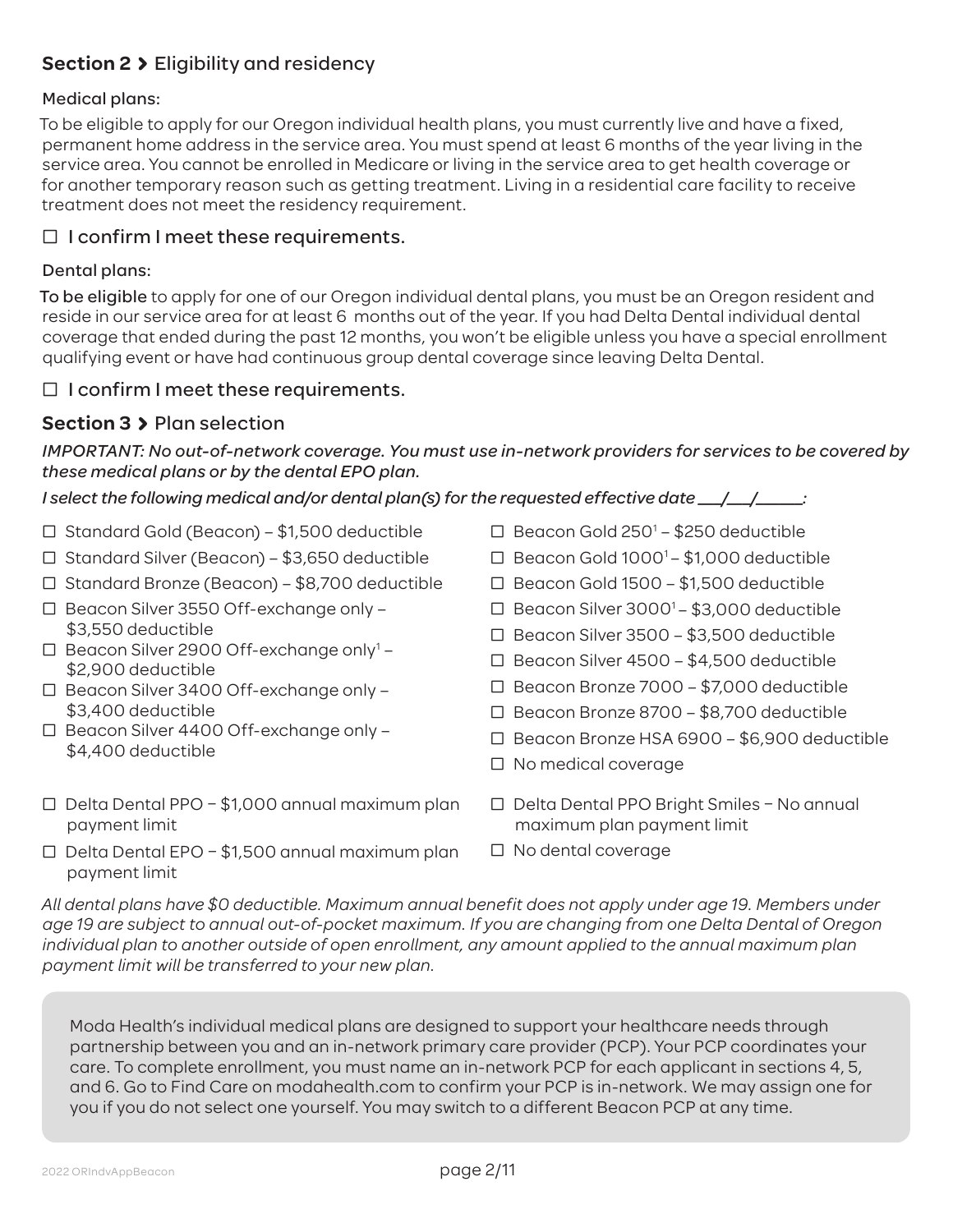## **Section 2** Eligibility and residency

#### Medical plans:

To be eligible to apply for our Oregon individual health plans, you must currently live and have a fixed, permanent home address in the service area. You must spend at least 6 months of the year living in the service area. You cannot be enrolled in Medicare or living in the service area to get health coverage or for another temporary reason such as getting treatment. Living in a residential care facility to receive treatment does not meet the residency requirement.

### $\Box$  I confirm I meet these requirements.

#### Dental plans:

To be eligible to apply for one of our Oregon individual dental plans, you must be an Oregon resident and reside in our service area for at least 6 months out of the year. If you had Delta Dental individual dental coverage that ended during the past 12 months, you won't be eligible unless you have a special enrollment qualifying event or have had continuous group dental coverage since leaving Delta Dental.

### $\Box$  I confirm I meet these requirements.

## **Section 3** Plan selection

#### *IMPORTANT: No out-of-network coverage. You must use in-network providers for services to be covered by these medical plans or by the dental EPO plan.*

*I select the following medical and/or dental plan(s) for the requested effective date \_\_\_/\_\_\_/\_\_\_\_\_\_:*

- Ƨ Standard Gold (Beacon) \$1,500 deductible
- Ƨ Standard Silver (Beacon) \$3,650 deductible
- Ƨ Standard Bronze (Beacon) \$8,700 deductible
- Ƨ Beacon Silver 3550 Off-exchange only \$3,550 deductible
- $\Box$  Beacon Silver 2900 Off-exchange only<sup>1</sup> -\$2,900 deductible
- Ƨ Beacon Silver 3400 Off-exchange only \$3,400 deductible
- Ƨ Beacon Silver 4400 Off-exchange only \$4,400 deductible
- $\Box$  Delta Dental PPO \$1,000 annual maximum plan payment limit
- $\Box$  Delta Dental EPO \$1,500 annual maximum plan payment limit
- □ Beacon Gold 250<sup>1</sup> \$250 deductible
- $\Box$  Beacon Gold 1000<sup>1</sup> \$1,000 deductible
- Ƨ Beacon Gold 1500 \$1,500 deductible
- □ Beacon Silver  $3000<sup>1</sup> $3,000$  deductible
- Ƨ Beacon Silver 3500 \$3,500 deductible
- Ƨ Beacon Silver 4500 \$4,500 deductible
- Ƨ Beacon Bronze 7000 \$7,000 deductible
- Ƨ Beacon Bronze 8700 \$8,700 deductible
- Ƨ Beacon Bronze HSA 6900 \$6,900 deductible
- Ƨ No medical coverage
- Ƨ Delta Dental PPO Bright Smiles No annual maximum plan payment limit
- Ƨ No dental coverage

*All dental plans have \$0 deductible. Maximum annual benefit does not apply under age 19. Members under age 19 are subject to annual out-of-pocket maximum. If you are changing from one Delta Dental of Oregon individual plan to another outside of open enrollment, any amount applied to the annual maximum plan payment limit will be transferred to your new plan.*

Moda Health's individual medical plans are designed to support your healthcare needs through partnership between you and an in-network primary care provider (PCP). Your PCP coordinates your care. To complete enrollment, you must name an in-network PCP for each applicant in sections 4, 5, and 6. Go to Find Care on modahealth.com to confirm your PCP is in-network. We may assign one for you if you do not select one yourself. You may switch to a different Beacon PCP at any time.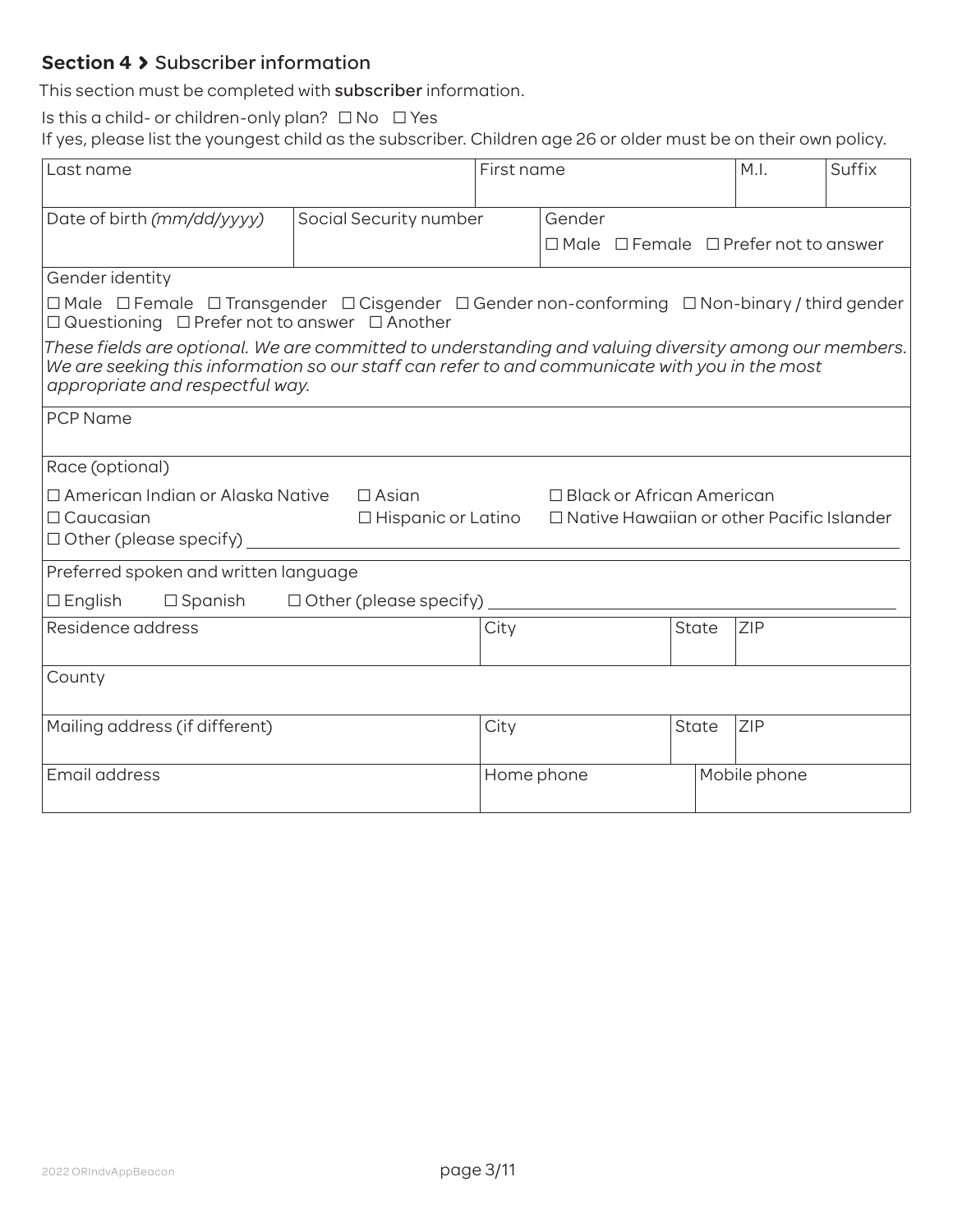## **Section 4 > Subscriber information**

This section must be completed with subscriber information.

Is this a child- or children-only plan?  $\Box$  No  $\Box$  Yes

If yes, please list the youngest child as the subscriber. Children age 26 or older must be on their own policy.

| Last name                                                                                                                                                                                                                                  |                               | First name |        |                                  | M.I.         | Suffix                                                |  |
|--------------------------------------------------------------------------------------------------------------------------------------------------------------------------------------------------------------------------------------------|-------------------------------|------------|--------|----------------------------------|--------------|-------------------------------------------------------|--|
|                                                                                                                                                                                                                                            |                               |            |        |                                  |              |                                                       |  |
| Date of birth (mm/dd/yyyy)                                                                                                                                                                                                                 | Social Security number        |            | Gender |                                  |              |                                                       |  |
|                                                                                                                                                                                                                                            |                               |            |        |                                  |              | $\Box$ Male $\Box$ Female $\Box$ Prefer not to answer |  |
| Gender identity                                                                                                                                                                                                                            |                               |            |        |                                  |              |                                                       |  |
| $\Box$ Male $\Box$ Female $\Box$ Transgender $\Box$ Cisgender $\Box$ Gender non-conforming $\Box$ Non-binary / third gender<br>□ Questioning □ Prefer not to answer □ Another                                                              |                               |            |        |                                  |              |                                                       |  |
| These fields are optional. We are committed to understanding and valuing diversity among our members.<br>We are seeking this information so our staff can refer to and communicate with you in the most<br>appropriate and respectful way. |                               |            |        |                                  |              |                                                       |  |
| <b>PCP Name</b>                                                                                                                                                                                                                            |                               |            |        |                                  |              |                                                       |  |
| Race (optional)                                                                                                                                                                                                                            |                               |            |        |                                  |              |                                                       |  |
| □ American Indian or Alaska Native                                                                                                                                                                                                         | $\Box$ Asian                  |            |        | $\Box$ Black or African American |              |                                                       |  |
| $\Box$ Caucasian                                                                                                                                                                                                                           | $\Box$ Hispanic or Latino     |            |        |                                  |              | $\Box$ Native Hawaiian or other Pacific Islander      |  |
| $\Box$ Other (please specify)                                                                                                                                                                                                              |                               |            |        |                                  |              |                                                       |  |
| Preferred spoken and written language                                                                                                                                                                                                      |                               |            |        |                                  |              |                                                       |  |
| $\Box$ English<br>$\Box$ Spanish                                                                                                                                                                                                           | $\Box$ Other (please specify) |            |        |                                  |              |                                                       |  |
| Residence address                                                                                                                                                                                                                          |                               | City       |        |                                  | State        | ZIP                                                   |  |
|                                                                                                                                                                                                                                            |                               |            |        |                                  |              |                                                       |  |
| County                                                                                                                                                                                                                                     |                               |            |        |                                  |              |                                                       |  |
| Mailing address (if different)                                                                                                                                                                                                             |                               | City       |        |                                  | <b>State</b> | <b>ZIP</b>                                            |  |
| Email address                                                                                                                                                                                                                              |                               | Home phone |        |                                  |              | Mobile phone                                          |  |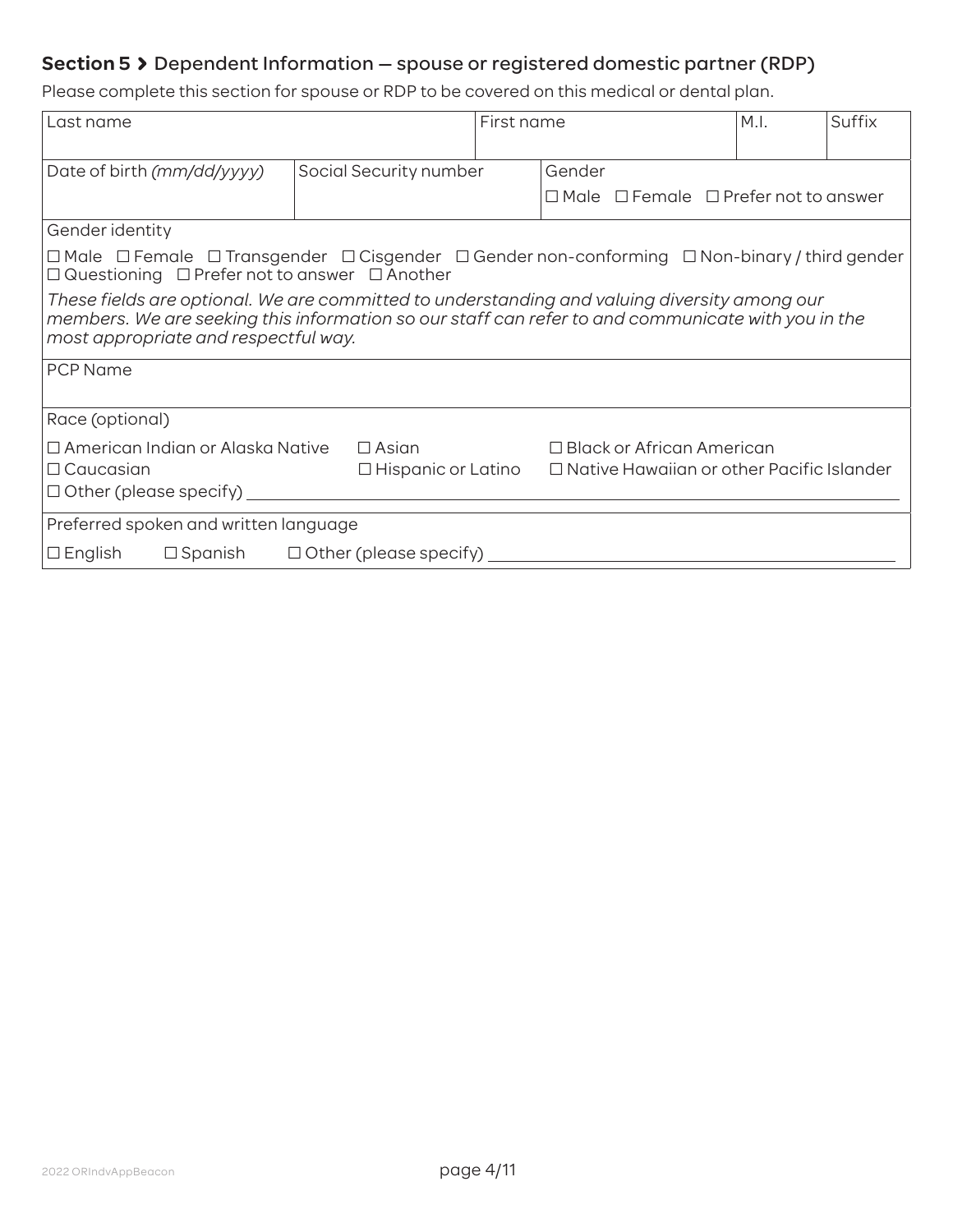## **Section 5** Dependent Information — spouse or registered domestic partner (RDP)

Please complete this section for spouse or RDP to be covered on this medical or dental plan.

| Last name                                                                                                                                                                                                                                  |                        | First name |  | M.I.                                                  | Suffix |  |
|--------------------------------------------------------------------------------------------------------------------------------------------------------------------------------------------------------------------------------------------|------------------------|------------|--|-------------------------------------------------------|--------|--|
| Date of birth (mm/dd/yyyy)                                                                                                                                                                                                                 | Social Security number | Gender     |  |                                                       |        |  |
|                                                                                                                                                                                                                                            |                        |            |  | $\Box$ Male $\Box$ Female $\Box$ Prefer not to answer |        |  |
| Gender identity                                                                                                                                                                                                                            |                        |            |  |                                                       |        |  |
| $\Box$ Male $\;\Box$ Female $\;\Box$ Transgender $\;\Box$ Cisgender $\;\Box$ Gender non-conforming $\;\Box$ Non-binary / third gender<br>$\Box$ Questioning $\Box$ Prefer not to answer $\Box$ Another                                     |                        |            |  |                                                       |        |  |
| These fields are optional. We are committed to understanding and valuing diversity among our<br>members. We are seeking this information so our staff can refer to and communicate with you in the<br>most appropriate and respectful way. |                        |            |  |                                                       |        |  |
| <b>PCP Name</b>                                                                                                                                                                                                                            |                        |            |  |                                                       |        |  |
| Race (optional)                                                                                                                                                                                                                            |                        |            |  |                                                       |        |  |
| $\Box$ American Indian or Alaska Native<br>$\Box$ Black or African American<br>$\Box$ Asian<br>$\Box$ Native Hawaiian or other Pacific Islander<br>$\Box$ Caucasian<br>$\Box$ Hispanic or Latino<br>$\Box$ Other (please specify)          |                        |            |  |                                                       |        |  |
| Preferred spoken and written language                                                                                                                                                                                                      |                        |            |  |                                                       |        |  |
| $\Box$ English<br>$\Box$ Spanish<br>$\Box$ Other (please specify)                                                                                                                                                                          |                        |            |  |                                                       |        |  |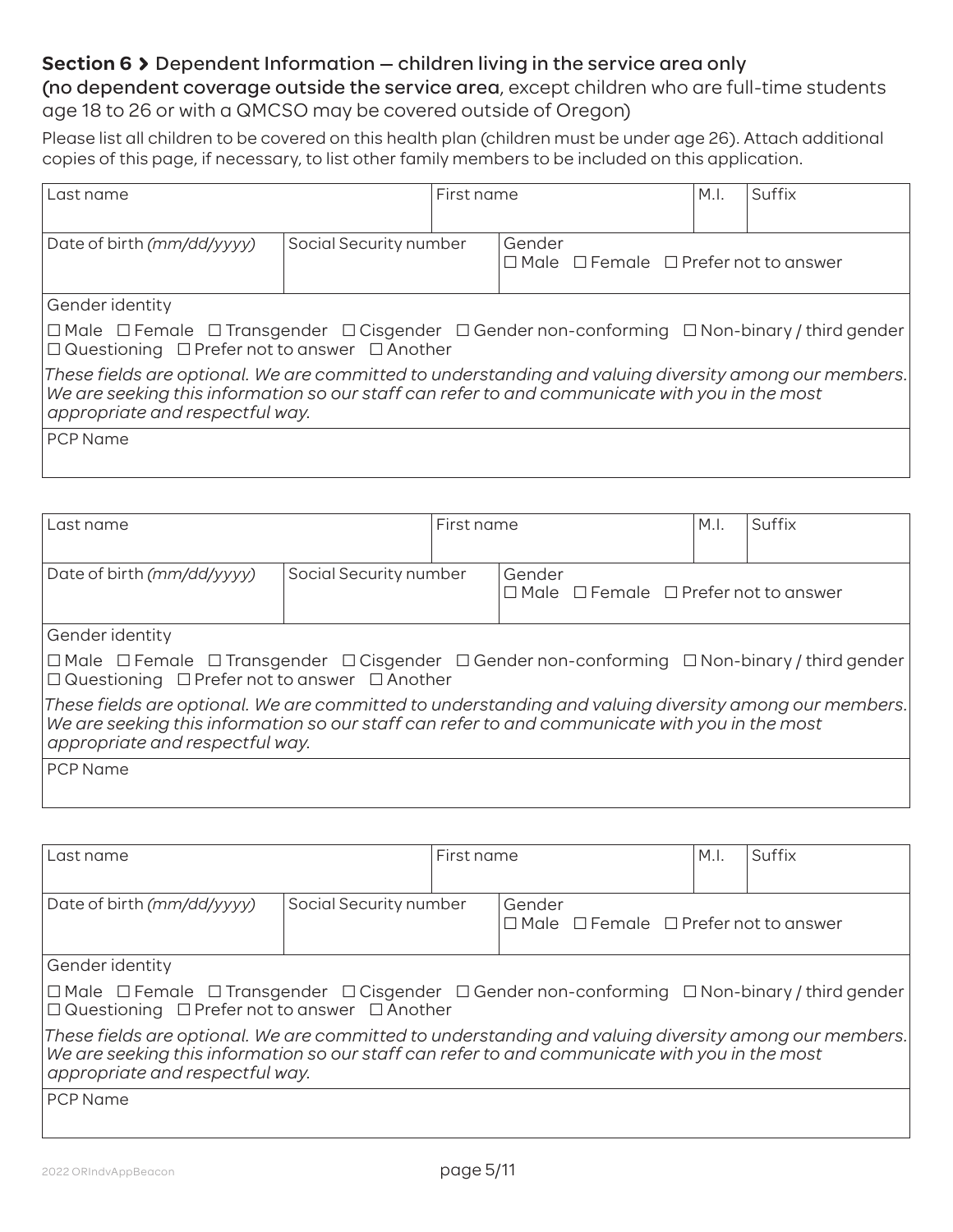## **Section 6 >** Dependent Information – children living in the service area only

(no dependent coverage outside the service area, except children who are full-time students age 18 to 26 or with a QMCSO may be covered outside of Oregon)

Please list all children to be covered on this health plan (children must be under age 26). Attach additional copies of this page, if necessary, to list other family members to be included on this application.

| Last name                                                                                                                                                                                                                                  | First name             |  |                                                                 | M.I. | Suffix |  |
|--------------------------------------------------------------------------------------------------------------------------------------------------------------------------------------------------------------------------------------------|------------------------|--|-----------------------------------------------------------------|------|--------|--|
| Date of birth (mm/dd/yyyy)                                                                                                                                                                                                                 | Social Security number |  | Gender<br>$\Box$ Male $\Box$ Female $\Box$ Prefer not to answer |      |        |  |
| Gender identity                                                                                                                                                                                                                            |                        |  |                                                                 |      |        |  |
| $\Box$ Male $\Box$ Female $\Box$ Transgender $\Box$ Cisgender $\Box$ Gender non-conforming $\Box$ Non-binary / third gender<br>$\Box$ Questioning $\Box$ Prefer not to answer $\Box$ Another                                               |                        |  |                                                                 |      |        |  |
| These fields are optional. We are committed to understanding and valuing diversity among our members.<br>We are seeking this information so our staff can refer to and communicate with you in the most<br>appropriate and respectful way. |                        |  |                                                                 |      |        |  |
| <b>PCP</b> Name                                                                                                                                                                                                                            |                        |  |                                                                 |      |        |  |

| Last name                                                                                                                                                                                                                                  |                        | First name |                                                                 | M.I. | Suffix |  |  |
|--------------------------------------------------------------------------------------------------------------------------------------------------------------------------------------------------------------------------------------------|------------------------|------------|-----------------------------------------------------------------|------|--------|--|--|
| Date of birth (mm/dd/yyyy)                                                                                                                                                                                                                 | Social Security number |            | Gender<br>$\Box$ Male $\Box$ Female $\Box$ Prefer not to answer |      |        |  |  |
| Gender identity                                                                                                                                                                                                                            |                        |            |                                                                 |      |        |  |  |
| $ \Box$ Male $ \Box$ Female $ \Box$ Transgender $ \Box$ Cisgender $\Box$ Gender non-conforming $ \Box$ Non-binary / third gender $ \Box$<br>$\Box$ Questioning $\Box$ Prefer not to answer $\Box$ Another                                  |                        |            |                                                                 |      |        |  |  |
| These fields are optional. We are committed to understanding and valuing diversity among our members.<br>We are seeking this information so our staff can refer to and communicate with you in the most<br>appropriate and respectful way. |                        |            |                                                                 |      |        |  |  |
| <b>PCP</b> Name                                                                                                                                                                                                                            |                        |            |                                                                 |      |        |  |  |

| Last name                                                                                                                                                                                                                                  |                        | First name |                                                                 | M.I. | Suffix |  |
|--------------------------------------------------------------------------------------------------------------------------------------------------------------------------------------------------------------------------------------------|------------------------|------------|-----------------------------------------------------------------|------|--------|--|
| Date of birth (mm/dd/yyyy)                                                                                                                                                                                                                 | Social Security number |            | Gender<br>$\Box$ Male $\Box$ Female $\Box$ Prefer not to answer |      |        |  |
| Gender identity                                                                                                                                                                                                                            |                        |            |                                                                 |      |        |  |
| $\Box$ Male $\Box$ Female $\Box$ Transgender $\Box$ Cisgender $\Box$ Gender non-conforming $\Box$ Non-binary / third gender<br>$\Box$ Questioning $\Box$ Prefer not to answer $\Box$ Another                                               |                        |            |                                                                 |      |        |  |
| These fields are optional. We are committed to understanding and valuing diversity among our members.<br>We are seeking this information so our staff can refer to and communicate with you in the most<br>appropriate and respectful way. |                        |            |                                                                 |      |        |  |
| <b>PCP Name</b>                                                                                                                                                                                                                            |                        |            |                                                                 |      |        |  |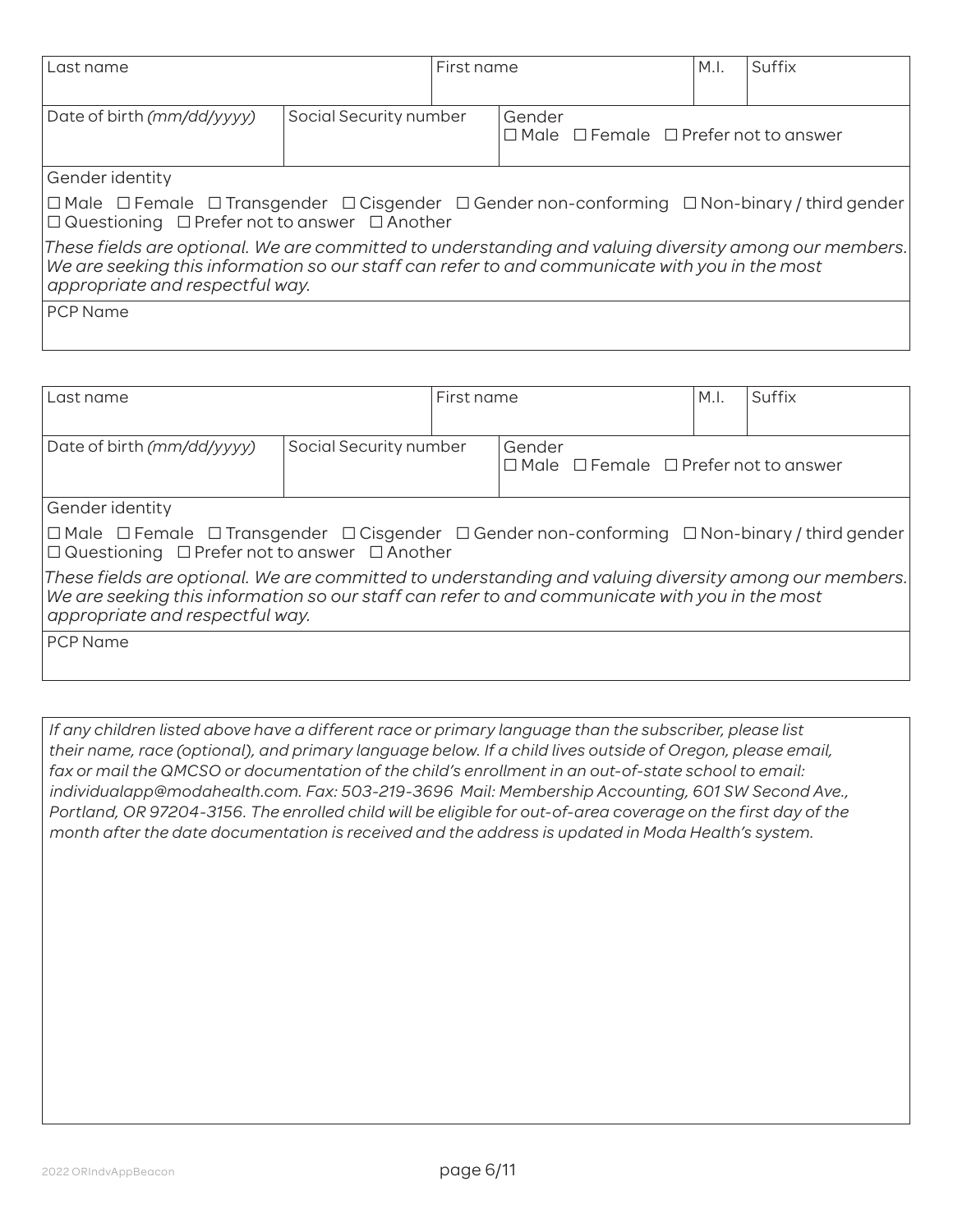| Last name                                                                                                                                                                                                                                  |                        | First name |                                                                 | M.I. | Suffix |  |
|--------------------------------------------------------------------------------------------------------------------------------------------------------------------------------------------------------------------------------------------|------------------------|------------|-----------------------------------------------------------------|------|--------|--|
| Date of birth (mm/dd/yyyy)                                                                                                                                                                                                                 | Social Security number |            | Gender<br>$\Box$ Male $\Box$ Female $\Box$ Prefer not to answer |      |        |  |
| Gender identity                                                                                                                                                                                                                            |                        |            |                                                                 |      |        |  |
| $\Box$ Male $\Box$ Female $\Box$ Transgender $\Box$ Cisgender $\Box$ Gender non-conforming $\Box$ Non-binary / third gender<br>$\Box$ Questioning $\Box$ Prefer not to answer $\Box$ Another                                               |                        |            |                                                                 |      |        |  |
| These fields are optional. We are committed to understanding and valuing diversity among our members.<br>We are seeking this information so our staff can refer to and communicate with you in the most<br>appropriate and respectful way. |                        |            |                                                                 |      |        |  |
| <b>PCP Name</b>                                                                                                                                                                                                                            |                        |            |                                                                 |      |        |  |

| Last name                                                                                                                                                                                                                                  |                        | First name |                                                                 | M.I. | Suffix |  |
|--------------------------------------------------------------------------------------------------------------------------------------------------------------------------------------------------------------------------------------------|------------------------|------------|-----------------------------------------------------------------|------|--------|--|
| Date of birth (mm/dd/yyyy)                                                                                                                                                                                                                 | Social Security number |            | Gender<br>$\Box$ Male $\Box$ Female $\Box$ Prefer not to answer |      |        |  |
| Gender identity                                                                                                                                                                                                                            |                        |            |                                                                 |      |        |  |
| $\Box$ Male $\Box$ Female $\Box$ Transgender $\Box$ Cisgender $\Box$ Gender non-conforming $\Box$ Non-binary / third gender<br>$\Box$ Questioning $\Box$ Prefer not to answer $\Box$ Another                                               |                        |            |                                                                 |      |        |  |
| These fields are optional. We are committed to understanding and valuing diversity among our members.<br>We are seeking this information so our staff can refer to and communicate with you in the most<br>appropriate and respectful way. |                        |            |                                                                 |      |        |  |
| <b>PCP</b> Name                                                                                                                                                                                                                            |                        |            |                                                                 |      |        |  |

*If any children listed above have a different race or primary language than the subscriber, please list their name, race (optional), and primary language below. If a child lives outside of Oregon, please email, fax or mail the QMCSO or documentation of the child's enrollment in an out-of-state school to email: individualapp@modahealth.com. Fax: 503-219-3696 Mail: Membership Accounting, 601 SW Second Ave., Portland, OR 97204-3156. The enrolled child will be eligible for out-of-area coverage on the first day of the month after the date documentation is received and the address is updated in Moda Health's system.*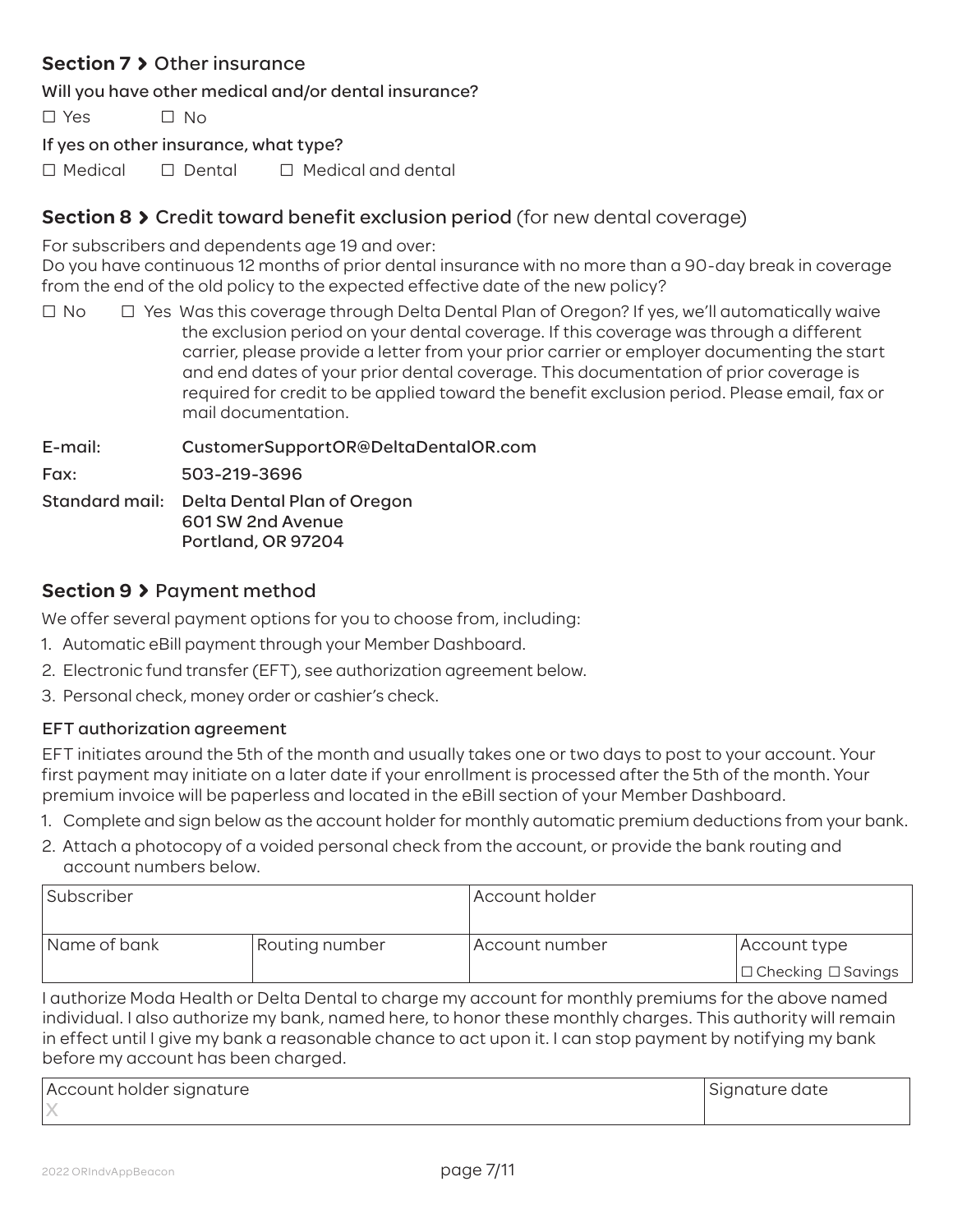## **Section 7 > Other insurance**

Will you have other medical and/or dental insurance?

 $\Box$  Yes  $\Box$  No

If yes on other insurance, what type?

 $\Box$  Medical  $\Box$  Dental  $\Box$  Medical and dental

## **Section 8 > Credit toward benefit exclusion period (for new dental coverage)**

For subscribers and dependents age 19 and over:

Do you have continuous 12 months of prior dental insurance with no more than a 90-day break in coverage from the end of the old policy to the expected effective date of the new policy?

 $\Box$  No  $\Box$  Yes Was this coverage through Delta Dental Plan of Oregon? If yes, we'll automatically waive the exclusion period on your dental coverage. If this coverage was through a different carrier, please provide a letter from your prior carrier or employer documenting the start and end dates of your prior dental coverage. This documentation of prior coverage is required for credit to be applied toward the benefit exclusion period. Please email, fax or mail documentation.

E-mail: CustomerSupportOR@DeltaDentalOR.com Fax: 503-219-3696 Standard mail: Delta Dental Plan of Oregon 601 SW 2nd Avenue Portland, OR 97204

## **Section 9** Payment method

We offer several payment options for you to choose from, including:

- 1. Automatic eBill payment through your Member Dashboard.
- 2. Electronic fund transfer (EFT), see authorization agreement below.
- 3. Personal check, money order or cashier's check.

## EFT authorization agreement

EFT initiates around the 5th of the month and usually takes one or two days to post to your account. Your first payment may initiate on a later date if your enrollment is processed after the 5th of the month. Your premium invoice will be paperless and located in the eBill section of your Member Dashboard.

- 1. Complete and sign below as the account holder for monthly automatic premium deductions from your bank.
- 2. Attach a photocopy of a voided personal check from the account, or provide the bank routing and account numbers below.

| Subscriber   |                | Account holder |                                |  |  |  |
|--------------|----------------|----------------|--------------------------------|--|--|--|
| Name of bank | Routing number | Account number | Account type                   |  |  |  |
|              |                |                | $\Box$ Checking $\Box$ Savings |  |  |  |

I authorize Moda Health or Delta Dental to charge my account for monthly premiums for the above named individual. I also authorize my bank, named here, to honor these monthly charges. This authority will remain in effect until I give my bank a reasonable chance to act upon it. I can stop payment by notifying my bank before my account has been charged.

| Account holder signature | Signature date |
|--------------------------|----------------|
|                          |                |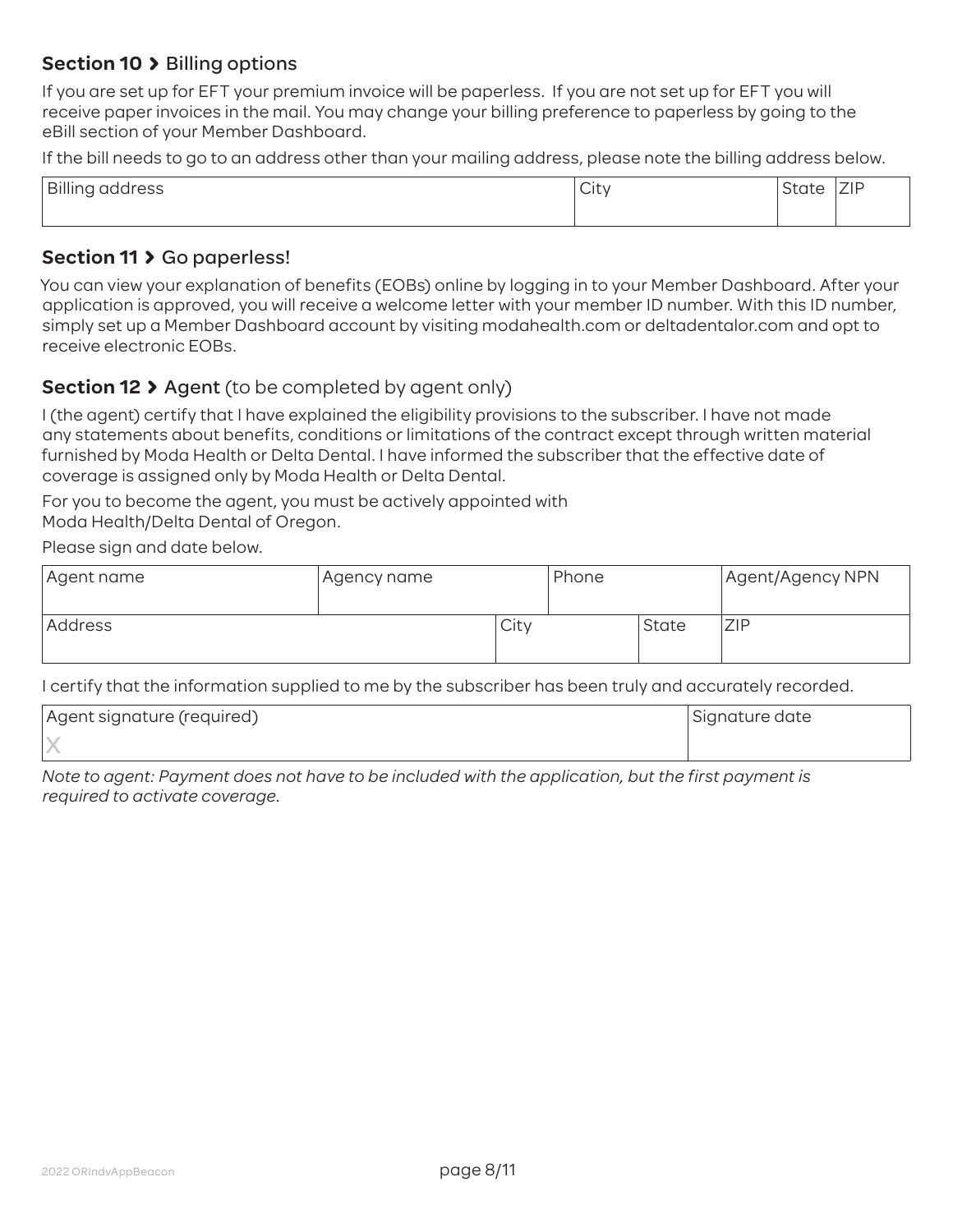## **Section 10 > Billing options**

If you are set up for EFT your premium invoice will be paperless. If you are not set up for EFT you will receive paper invoices in the mail. You may change your billing preference to paperless by going to the eBill section of your Member Dashboard.

If the bill needs to go to an address other than your mailing address, please note the billing address below.

| Billing address | ∽<br>City | State | 71D<br><b>LIF</b> |
|-----------------|-----------|-------|-------------------|
|                 |           |       |                   |

### Section 11 > Go paperless!

You can view your explanation of benefits (EOBs) online by logging in to your Member Dashboard. After your application is approved, you will receive a welcome letter with your member ID number. With this ID number, simply set up a Member Dashboard account by visiting modahealth.com or deltadentalor.com and opt to receive electronic EOBs.

## **Section 12**  $\lambda$  Agent (to be completed by agent only)

I (the agent) certify that I have explained the eligibility provisions to the subscriber. I have not made any statements about benefits, conditions or limitations of the contract except through written material furnished by Moda Health or Delta Dental. I have informed the subscriber that the effective date of coverage is assigned only by Moda Health or Delta Dental.

For you to become the agent, you must be actively appointed with Moda Health/Delta Dental of Oregon.

Please sign and date below.

| Agent name | Agency name- |      | Phone |       | Agent/Agency NPN |
|------------|--------------|------|-------|-------|------------------|
| Address    |              | City |       | State | ZIP              |

I certify that the information supplied to me by the subscriber has been truly and accurately recorded.

| Agent signature (required) | Signature date |
|----------------------------|----------------|
|                            |                |

*Note to agent: Payment does not have to be included with the application, but the first payment is required to activate coverage*.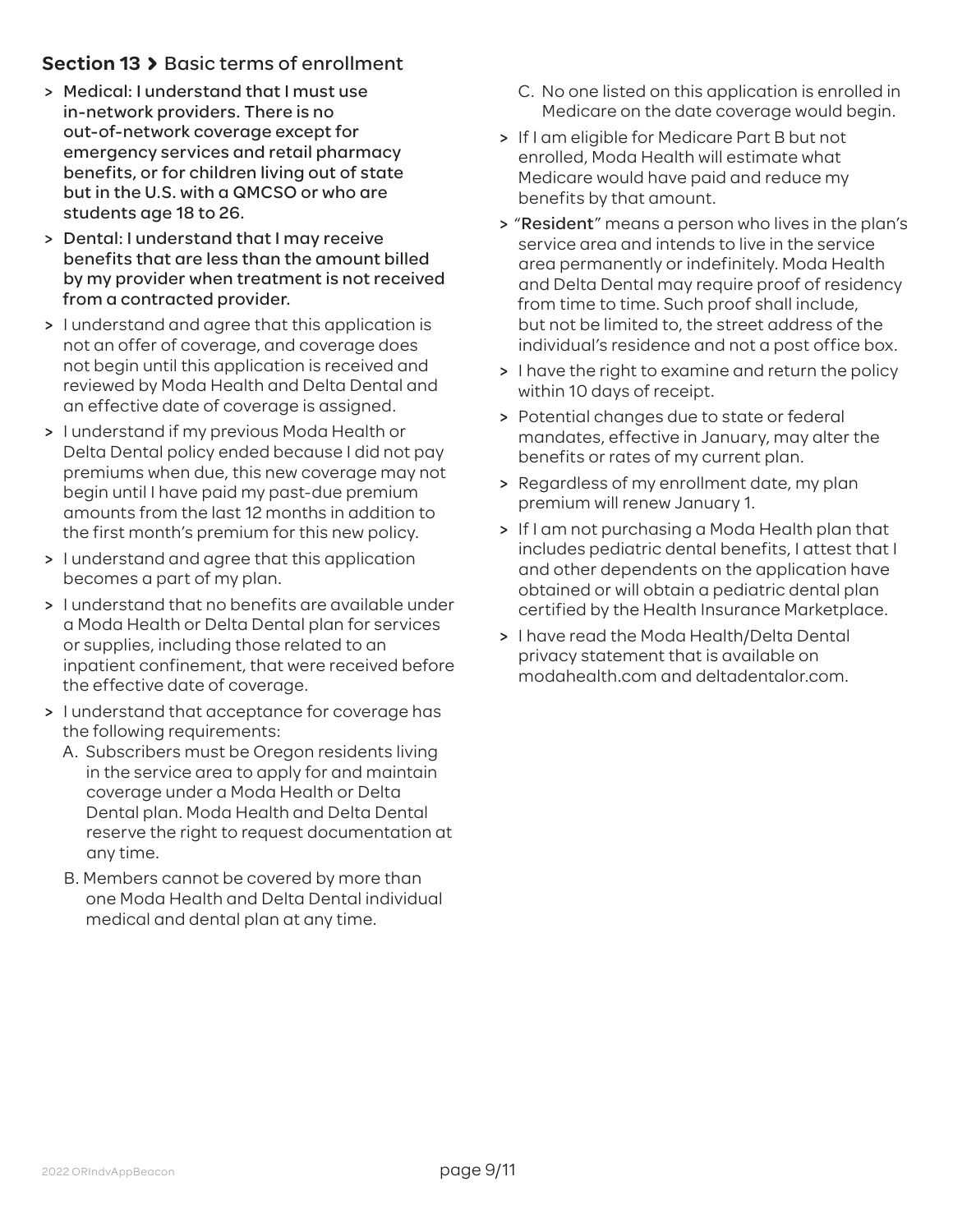## **Section 13 > Basic terms of enrollment**

- > Medical: I understand that I must use in-network providers. There is no out-of-network coverage except for emergency services and retail pharmacy benefits, or for children living out of state but in the U.S. with a QMCSO or who are students age 18 to 26.
- > Dental: I understand that I may receive benefits that are less than the amount billed by my provider when treatment is not received from a contracted provider.
- > I understand and agree that this application is not an offer of coverage, and coverage does not begin until this application is received and reviewed by Moda Health and Delta Dental and an effective date of coverage is assigned.
- > I understand if my previous Moda Health or Delta Dental policy ended because I did not pay premiums when due, this new coverage may not begin until I have paid my past-due premium amounts from the last 12 months in addition to the first month's premium for this new policy.
- > I understand and agree that this application becomes a part of my plan.
- > I understand that no benefits are available under a Moda Health or Delta Dental plan for services or supplies, including those related to an inpatient confinement, that were received before the effective date of coverage.
- > I understand that acceptance for coverage has the following requirements:
	- A. Subscribers must be Oregon residents living in the service area to apply for and maintain coverage under a Moda Health or Delta Dental plan. Moda Health and Delta Dental reserve the right to request documentation at any time.
	- B. Members cannot be covered by more than one Moda Health and Delta Dental individual medical and dental plan at any time.
- C. No one listed on this application is enrolled in Medicare on the date coverage would begin.
- > If I am eligible for Medicare Part B but not enrolled, Moda Health will estimate what Medicare would have paid and reduce my benefits by that amount.
- > "Resident" means a person who lives in the plan's service area and intends to live in the service area permanently or indefinitely. Moda Health and Delta Dental may require proof of residency from time to time. Such proof shall include, but not be limited to, the street address of the individual's residence and not a post office box.
- > I have the right to examine and return the policy within 10 days of receipt.
- > Potential changes due to state or federal mandates, effective in January, may alter the benefits or rates of my current plan.
- > Regardless of my enrollment date, my plan premium will renew January 1.
- > If I am not purchasing a Moda Health plan that includes pediatric dental benefits, I attest that I and other dependents on the application have obtained or will obtain a pediatric dental plan certified by the Health Insurance Marketplace.
- > I have read the Moda Health/Delta Dental privacy statement that is available on modahealth.com and deltadentalor.com.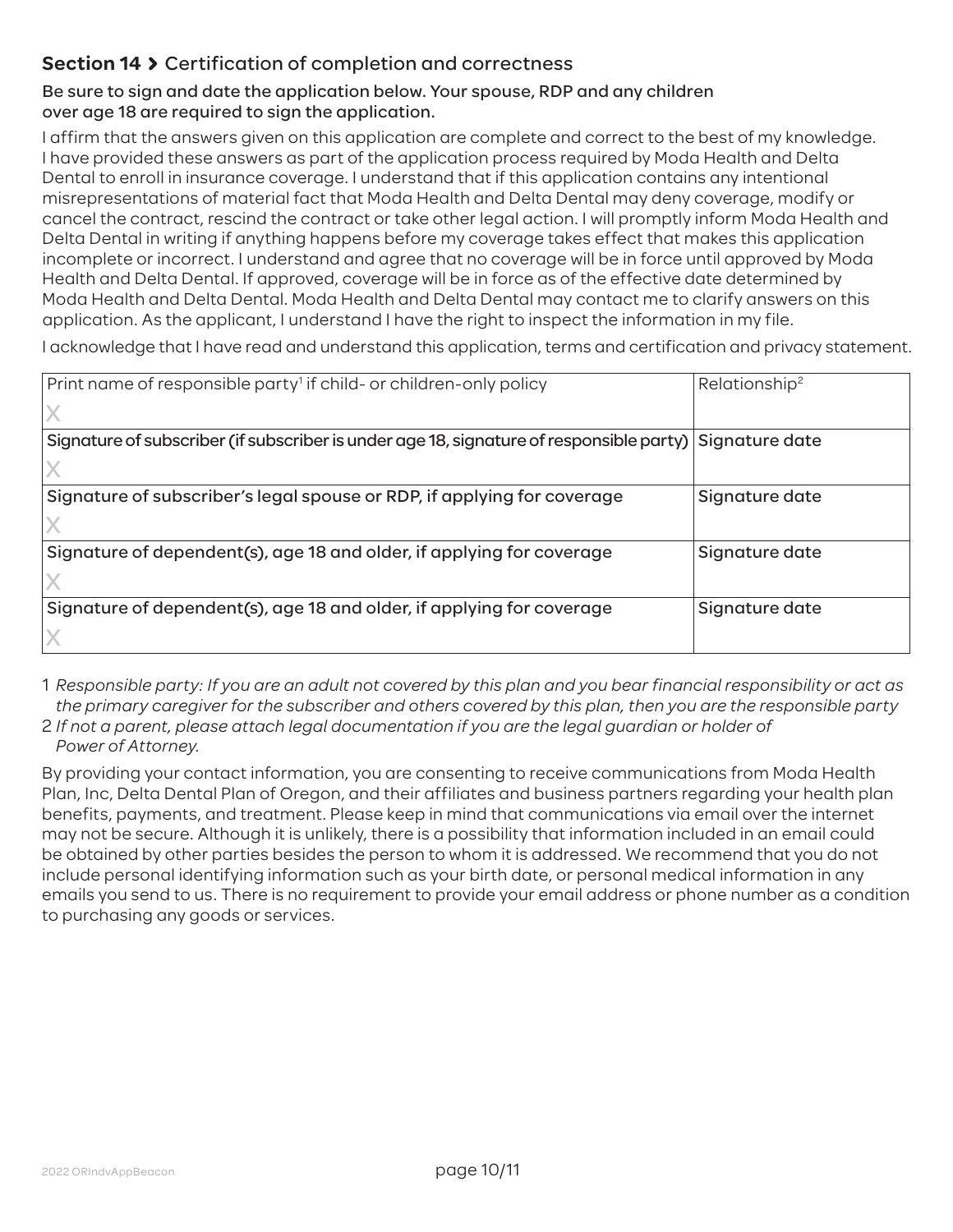## **Section 14** Certification of completion and correctness

## Be sure to sign and date the application below. Your spouse, RDP and any children over age 18 are required to sign the application.

I affirm that the answers given on this application are complete and correct to the best of my knowledge. I have provided these answers as part of the application process required by Moda Health and Delta Dental to enroll in insurance coverage. I understand that if this application contains any intentional misrepresentations of material fact that Moda Health and Delta Dental may deny coverage, modify or cancel the contract, rescind the contract or take other legal action. I will promptly inform Moda Health and Delta Dental in writing if anything happens before my coverage takes effect that makes this application incomplete or incorrect. I understand and agree that no coverage will be in force until approved by Moda Health and Delta Dental. If approved, coverage will be in force as of the effective date determined by Moda Health and Delta Dental. Moda Health and Delta Dental may contact me to clarify answers on this application. As the applicant, I understand I have the right to inspect the information in my file.

I acknowledge that I have read and understand this application, terms and certification and privacy statement.

| Print name of responsible party <sup>1</sup> if child- or children-only policy                           | Relationship <sup>2</sup> |
|----------------------------------------------------------------------------------------------------------|---------------------------|
|                                                                                                          |                           |
| Signature of subscriber (if subscriber is under age 18, signature of responsible party)   Signature date |                           |
|                                                                                                          |                           |
| Signature of subscriber's legal spouse or RDP, if applying for coverage                                  | Signature date            |
|                                                                                                          |                           |
| Signature of dependent(s), age 18 and older, if applying for coverage                                    | Signature date            |
|                                                                                                          |                           |
| Signature of dependent(s), age 18 and older, if applying for coverage                                    | Signature date            |
|                                                                                                          |                           |

1 *Responsible party: If you are an adult not covered by this plan and you bear financial responsibility or act as the primary caregiver for the subscriber and others covered by this plan, then you are the responsible party*

2 *If not a parent, please attach legal documentation if you are the legal guardian or holder of Power of Attorney.*

By providing your contact information, you are consenting to receive communications from Moda Health Plan, Inc, Delta Dental Plan of Oregon, and their affiliates and business partners regarding your health plan benefits, payments, and treatment. Please keep in mind that communications via email over the internet may not be secure. Although it is unlikely, there is a possibility that information included in an email could be obtained by other parties besides the person to whom it is addressed. We recommend that you do not include personal identifying information such as your birth date, or personal medical information in any emails you send to us. There is no requirement to provide your email address or phone number as a condition to purchasing any goods or services.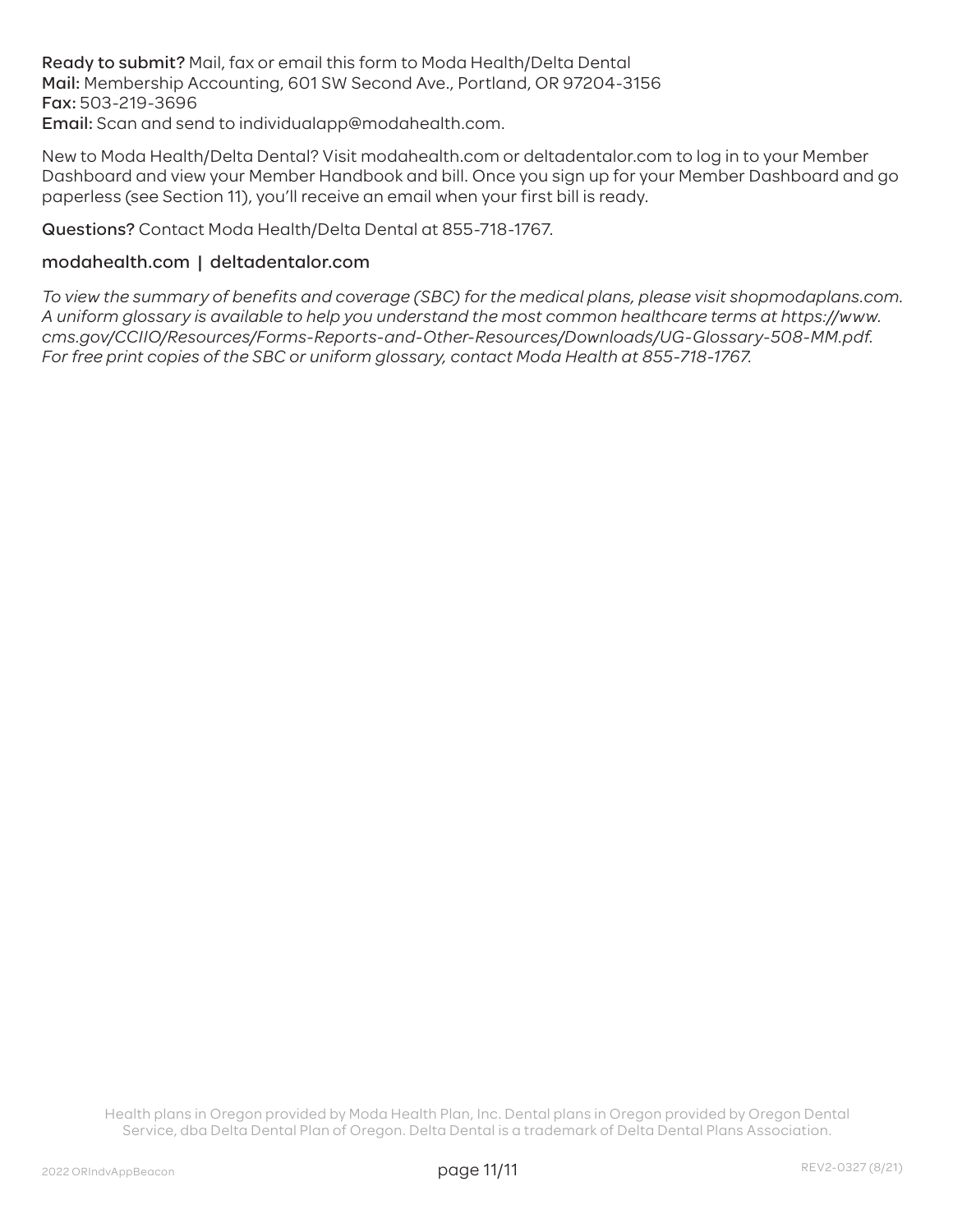Ready to submit? Mail, fax or email this form to Moda Health/Delta Dental Mail: Membership Accounting, 601 SW Second Ave., Portland, OR 97204-3156 Fax: 503-219-3696 Email: Scan and send to individualapp@modahealth.com.

New to Moda Health/Delta Dental? Visit modahealth.com or deltadentalor.com to log in to your Member Dashboard and view your Member Handbook and bill. Once you sign up for your Member Dashboard and go paperless (see Section 11), you'll receive an email when your first bill is ready.

Questions? Contact Moda Health/Delta Dental at 855-718-1767.

#### modahealth.com | deltadentalor.com

*To view the summary of benefits and coverage (SBC) for the medical plans, please visit shopmodaplans.com. A uniform glossary is available to help you understand the most common healthcare terms at https://www. cms.gov/CCIIO/Resources/Forms-Reports-and-Other-Resources/Downloads/UG-Glossary-508-MM.pdf. For free print copies of the SBC or uniform glossary, contact Moda Health at 855-718-1767.*

Health plans in Oregon provided by Moda Health Plan, Inc. Dental plans in Oregon provided by Oregon Dental Service, dba Delta Dental Plan of Oregon. Delta Dental is a trademark of Delta Dental Plans Association.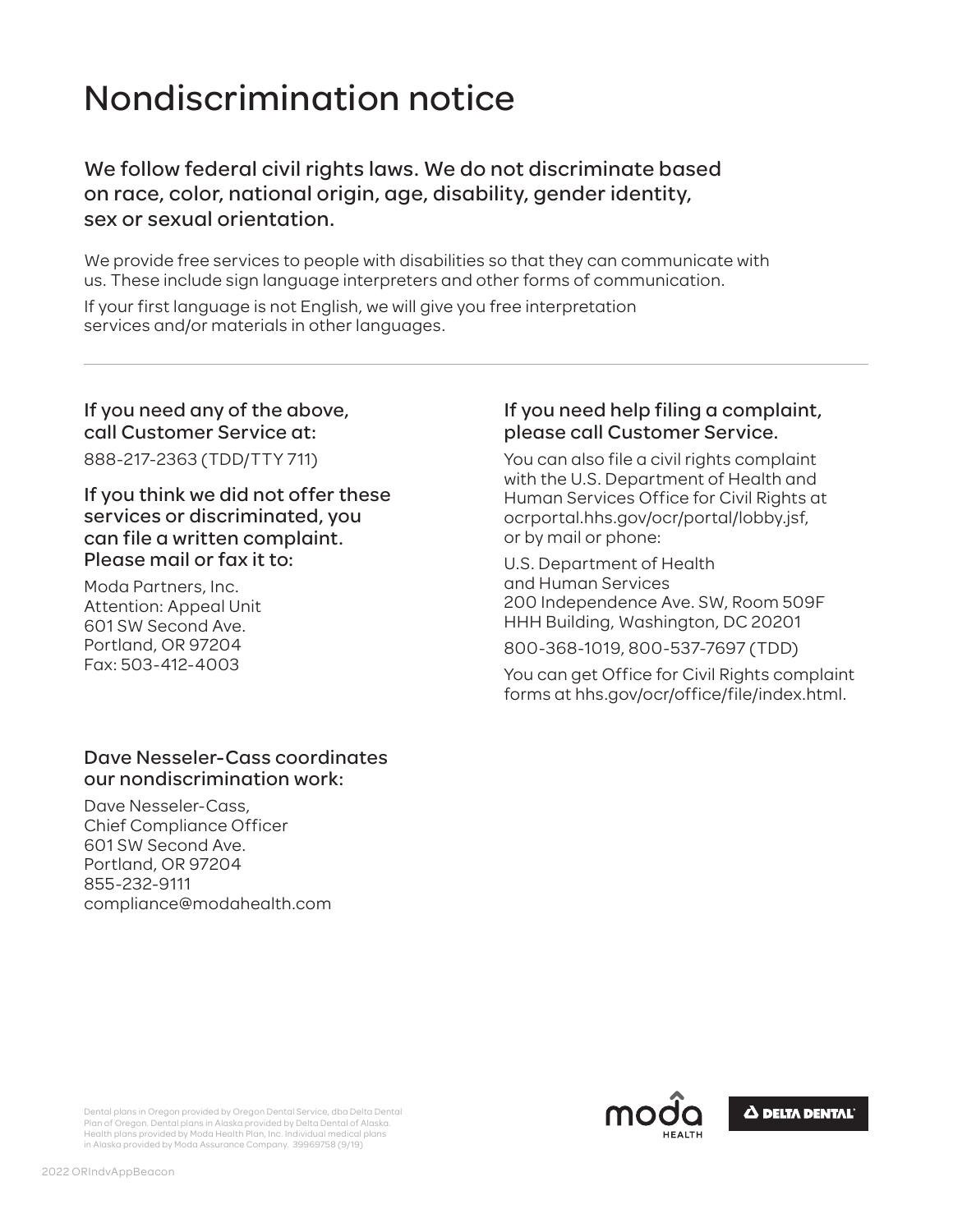# Nondiscrimination notice

We follow federal civil rights laws. We do not discriminate based on race, color, national origin, age, disability, gender identity, sex or sexual orientation.

We provide free services to people with disabilities so that they can communicate with us. These include sign language interpreters and other forms of communication.

If your first language is not English, we will give you free interpretation services and/or materials in other languages.

## If you need any of the above, call Customer Service at:

888-217-2363 (TDD/TTY 711)

If you think we did not offer these services or discriminated, you can file a written complaint. Please mail or fax it to:

Moda Partners, Inc. Attention: Appeal Unit 601 SW Second Ave. Portland, OR 97204 Fax: 503-412-4003

### Dave Nesseler-Cass coordinates our nondiscrimination work:

Dave Nesseler-Cass, Chief Compliance Officer 601 SW Second Ave. Portland, OR 97204 855-232-9111 compliance@modahealth.com

## If you need help filing a complaint, please call Customer Service.

You can also file a civil rights complaint with the U.S. Department of Health and Human Services Office for Civil Rights at ocrportal.hhs.gov/ocr/portal/lobby.jsf, or by mail or phone:

U.S. Department of Health and Human Services 200 Independence Ave. SW, Room 509F HHH Building, Washington, DC 20201

800-368-1019, 800-537-7697 (TDD)

You can get Office for Civil Rights complaint forms at hhs.gov/ocr/office/file/index.html.



Dental plans in Oregon provided by Oregon Dental Service, dba Delta Dental Plan of Oregon. Dental plans in Alaska provided by Delta Dental of Alaska. Health plans provided by Moda Health Plan, Inc. Individual medical plans in Alaska provided by Moda Assurance Company. 39969758 (9/19)